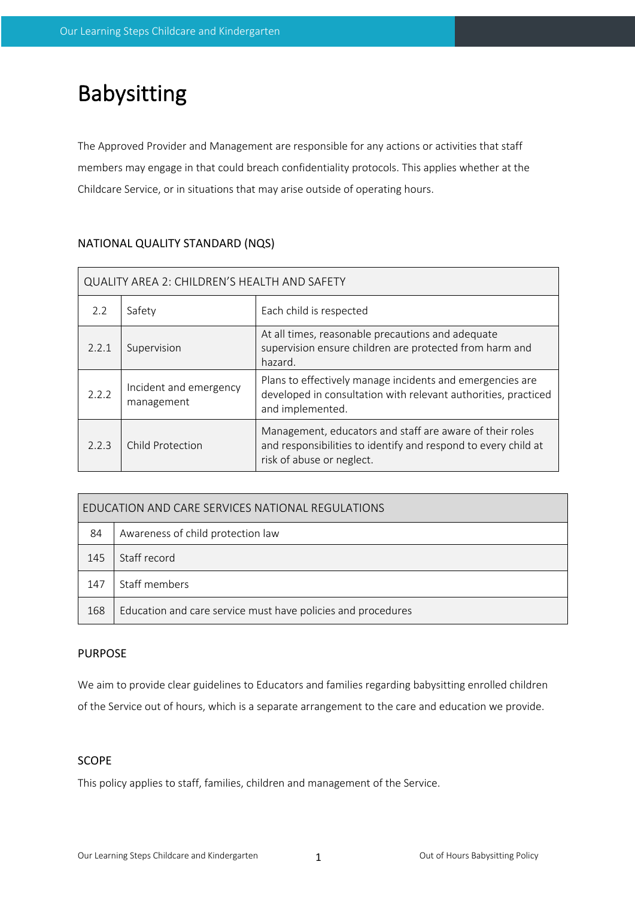# Babysitting

The Approved Provider and Management are responsible for any actions or activities that staff members may engage in that could breach confidentiality protocols. This applies whether at the Childcare Service, or in situations that may arise outside of operating hours.

## NATIONAL QUALITY STANDARD (NQS)

| QUALITY AREA 2: CHILDREN'S HEALTH AND SAFETY |                                      |                                                                                                                                                         |  |  |  |
|----------------------------------------------|--------------------------------------|---------------------------------------------------------------------------------------------------------------------------------------------------------|--|--|--|
| 2.2                                          | Safety                               | Each child is respected                                                                                                                                 |  |  |  |
| 2.2.1                                        | Supervision                          | At all times, reasonable precautions and adequate<br>supervision ensure children are protected from harm and<br>hazard.                                 |  |  |  |
| 2.2.2                                        | Incident and emergency<br>management | Plans to effectively manage incidents and emergencies are<br>developed in consultation with relevant authorities, practiced<br>and implemented.         |  |  |  |
| 2.2.3                                        | <b>Child Protection</b>              | Management, educators and staff are aware of their roles<br>and responsibilities to identify and respond to every child at<br>risk of abuse or neglect. |  |  |  |

| EDUCATION AND CARE SERVICES NATIONAL REGULATIONS |                                                              |  |  |  |
|--------------------------------------------------|--------------------------------------------------------------|--|--|--|
| 84                                               | Awareness of child protection law                            |  |  |  |
| 145                                              | Staff record                                                 |  |  |  |
| 147                                              | Staff members                                                |  |  |  |
| 168                                              | Education and care service must have policies and procedures |  |  |  |

### PURPOSE

We aim to provide clear guidelines to Educators and families regarding babysitting enrolled children of the Service out of hours, which is a separate arrangement to the care and education we provide.

#### SCOPE

This policy applies to staff, families, children and management of the Service.